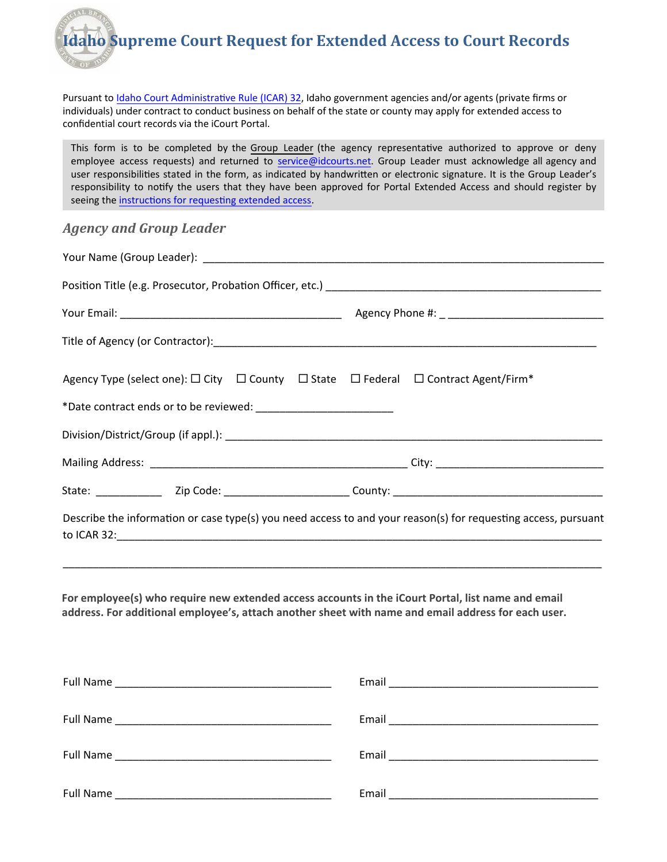CIAL BR **Idaho Supreme Court Request for Extended Access to Court Records** 

Pursuant t[o Idaho Court Administr](http://www.isc.idaho.gov/icar32)ative Rule (ICAR) 32, Idaho government agencies and/or agents (private firms or individuals) under contract to conduct business on behalf of the state or county may apply for extended access to confidential court records via the iCourt Portal.

This form is to be completed by the Group Leader (the agency representative authorized to approve or deny employee access requests) and returned to [service@idcourts.net.](mailto:access@idcourts.net) Group Leader must acknowledge all agency and user responsibilities stated in the form, as indicated by handwritten or electronic signature. It is the Group Leader's responsibility to notify the users that they have been approved for Portal Extended Access and should register by seeing the [instructions for requesting extended access](http://icourt.idaho.gov/apply).

## *Agency and Group Leader*

| Your Name (Group Leader): Next Assembly a state of the state of the state of the state of the state of the state of the state of the state of the state of the state of the state of the state of the state of the state of th |  |
|--------------------------------------------------------------------------------------------------------------------------------------------------------------------------------------------------------------------------------|--|
|                                                                                                                                                                                                                                |  |
|                                                                                                                                                                                                                                |  |
|                                                                                                                                                                                                                                |  |
| Agency Type (select one): $\square$ City $\square$ County $\square$ State $\square$ Federal $\square$ Contract Agent/Firm*                                                                                                     |  |
|                                                                                                                                                                                                                                |  |
|                                                                                                                                                                                                                                |  |
|                                                                                                                                                                                                                                |  |
| Describe the information or case type(s) you need access to and your reason(s) for requesting access, pursuant                                                                                                                 |  |
| For employee(s) who require new extended access accounts in the iCourt Portal, list name and email<br>address. For additional employee's, attach another sheet with name and email address for each user.                      |  |
|                                                                                                                                                                                                                                |  |

Full Name \_\_\_\_\_\_\_\_\_\_\_\_\_\_\_\_\_\_\_\_\_\_\_\_\_\_\_\_\_\_\_\_\_\_\_\_ Email \_\_\_\_\_\_\_\_\_\_\_\_\_\_\_\_\_\_\_\_\_\_\_\_\_\_\_\_\_\_\_\_\_\_\_ Full Name **Example 20 and the Contract Contract Contract Contract Contract Contract Contract Contract Contract Contract Contract Contract Contract Contract Contract Contract Contract Contract Contract Contract Contract Con** Full Name \_\_\_\_\_\_\_\_\_\_\_\_\_\_\_\_\_\_\_\_\_\_\_\_\_\_\_\_\_\_\_\_\_\_\_\_ Email \_\_\_\_\_\_\_\_\_\_\_\_\_\_\_\_\_\_\_\_\_\_\_\_\_\_\_\_\_\_\_\_\_\_\_